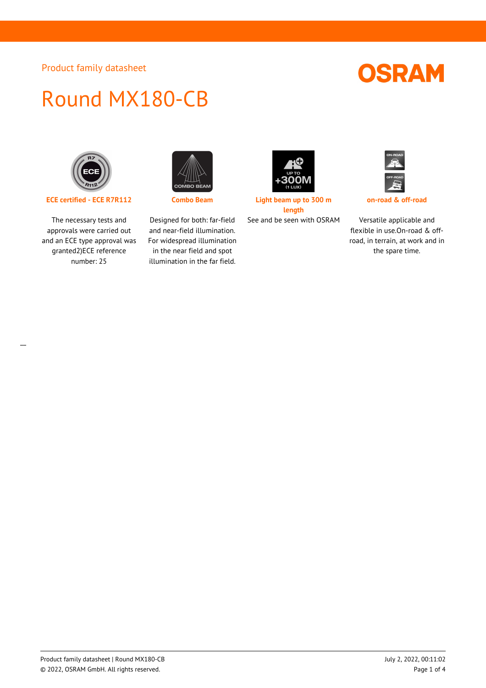## **OSRAM**

# Round MX180-CB



**ECE certified - ECE R7R112 Combo Beam Light beam up to 300 m**

The necessary tests and approvals were carried out and an ECE type approval was granted2)ECE reference number: 25



Designed for both: far-field and near-field illumination. For widespread illumination in the near field and spot illumination in the far field.



**length**



**on-road & off-road**

See and be seen with OSRAM Versatile applicable and flexible in use.On-road & offroad, in terrain, at work and in the spare time.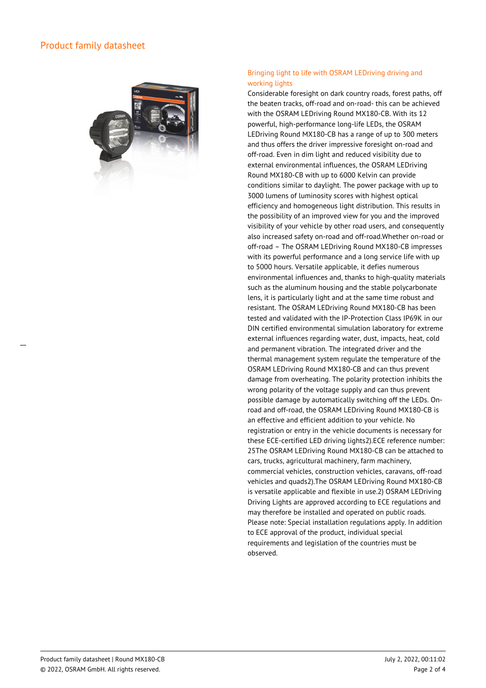

### Bringing light to life with OSRAM LEDriving driving and working lights

Considerable foresight on dark country roads, forest paths, off the beaten tracks, off-road and on-road- this can be achieved with the OSRAM LEDriving Round MX180-CB. With its 12 powerful, high-performance long-life LEDs, the OSRAM LEDriving Round MX180-CB has a range of up to 300 meters and thus offers the driver impressive foresight on-road and off-road. Even in dim light and reduced visibility due to external environmental influences, the OSRAM LEDriving Round MX180-CB with up to 6000 Kelvin can provide conditions similar to daylight. The power package with up to 3000 lumens of luminosity scores with highest optical efficiency and homogeneous light distribution. This results in the possibility of an improved view for you and the improved visibility of your vehicle by other road users, and consequently also increased safety on-road and off-road.Whether on-road or off-road – The OSRAM LEDriving Round MX180-CB impresses with its powerful performance and a long service life with up to 5000 hours. Versatile applicable, it defies numerous environmental influences and, thanks to high-quality materials such as the aluminum housing and the stable polycarbonate lens, it is particularly light and at the same time robust and resistant. The OSRAM LEDriving Round MX180-CB has been tested and validated with the IP-Protection Class IP69K in our DIN certified environmental simulation laboratory for extreme external influences regarding water, dust, impacts, heat, cold and permanent vibration. The integrated driver and the thermal management system regulate the temperature of the OSRAM LEDriving Round MX180-CB and can thus prevent damage from overheating. The polarity protection inhibits the wrong polarity of the voltage supply and can thus prevent possible damage by automatically switching off the LEDs. Onroad and off-road, the OSRAM LEDriving Round MX180-CB is an effective and efficient addition to your vehicle. No registration or entry in the vehicle documents is necessary for these ECE-certified LED driving lights2).ECE reference number: 25The OSRAM LEDriving Round MX180-CB can be attached to cars, trucks, agricultural machinery, farm machinery, commercial vehicles, construction vehicles, caravans, off-road vehicles and quads2).The OSRAM LEDriving Round MX180-CB is versatile applicable and flexible in use.2) OSRAM LEDriving Driving Lights are approved according to ECE regulations and may therefore be installed and operated on public roads. Please note: Special installation regulations apply. In addition to ECE approval of the product, individual special requirements and legislation of the countries must be observed.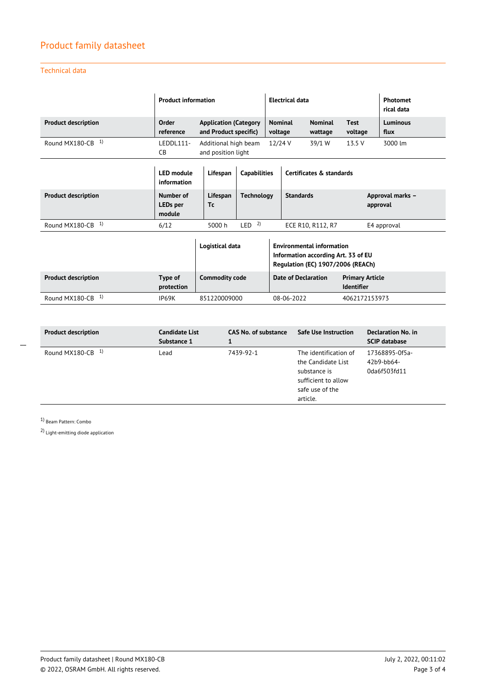## Technical data

|                            | <b>Product information</b>             |                                                                                      |                   | <b>Electrical data</b>    |                            |                                                                         |                                             | Photomet<br>rical data |  |
|----------------------------|----------------------------------------|--------------------------------------------------------------------------------------|-------------------|---------------------------|----------------------------|-------------------------------------------------------------------------|---------------------------------------------|------------------------|--|
| <b>Product description</b> | Order<br>reference                     | <b>Application (Category</b><br>and Product specific)                                |                   | <b>Nominal</b><br>voltage |                            | <b>Nominal</b><br>wattage                                               | <b>Test</b><br>voltage                      | Luminous<br>flux       |  |
| 1)<br>Round MX180-CB       | LEDDL111-<br>CB                        | 3000 lm<br>Additional high beam<br>12/24 V<br>39/1 W<br>13.5 V<br>and position light |                   |                           |                            |                                                                         |                                             |                        |  |
|                            | <b>LED</b> module<br>information       | Lifespan<br><b>Capabilities</b>                                                      |                   | Certificates & standards  |                            |                                                                         |                                             |                        |  |
| <b>Product description</b> | Number of<br><b>LEDs</b> per<br>module | Lifespan<br>Tc                                                                       | <b>Technology</b> |                           | <b>Standards</b>           |                                                                         | Approval marks -<br>approval                |                        |  |
| 1)<br>Round MX180-CB       | 6/12                                   | 5000 h                                                                               | LED <sup>2</sup>  |                           | ECE R10, R112, R7          |                                                                         |                                             | E4 approval            |  |
|                            |                                        | Logistical data                                                                      |                   |                           |                            | <b>Environmental information</b><br>Information according Art. 33 of EU | Regulation (EC) 1907/2006 (REACh)           |                        |  |
| <b>Product description</b> | Type of<br>protection                  | <b>Commodity code</b>                                                                |                   |                           | <b>Date of Declaration</b> |                                                                         | <b>Primary Article</b><br><b>Identifier</b> |                        |  |
| 1)<br>Round MX180-CB       | IP69K                                  | 851220009000                                                                         |                   |                           | 08-06-2022                 |                                                                         | 4062172153973                               |                        |  |

| <b>Product description</b> | Candidate List<br>Substance 1 | <b>CAS No. of substance</b> | Safe Use Instruction                                                                                              | Declaration No. in<br><b>SCIP database</b>   |
|----------------------------|-------------------------------|-----------------------------|-------------------------------------------------------------------------------------------------------------------|----------------------------------------------|
| Round MX180-CB $1$         | Lead                          | 7439-92-1                   | The identification of<br>the Candidate List<br>substance is<br>sufficient to allow<br>safe use of the<br>article. | 17368895-0f5a-<br>42b9-bb64-<br>0da6f503fd11 |

1) Beam Pattern: Combo

 $\overline{a}$ 

2) Light-emitting diode application